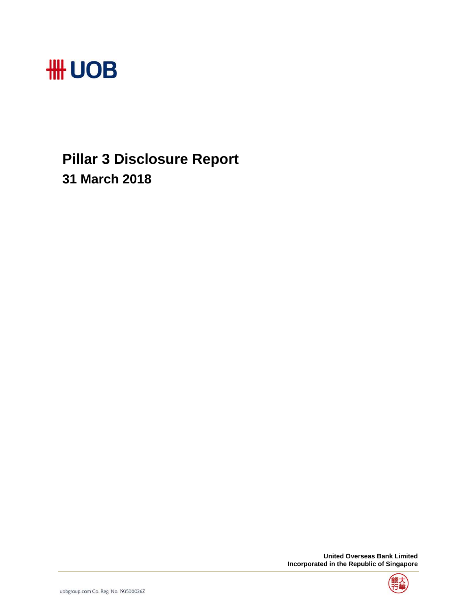

# **Pillar 3 Disclosure Report 31 March 2018**

 **United Overseas Bank Limited Incorporated in the Republic of Singapore** 

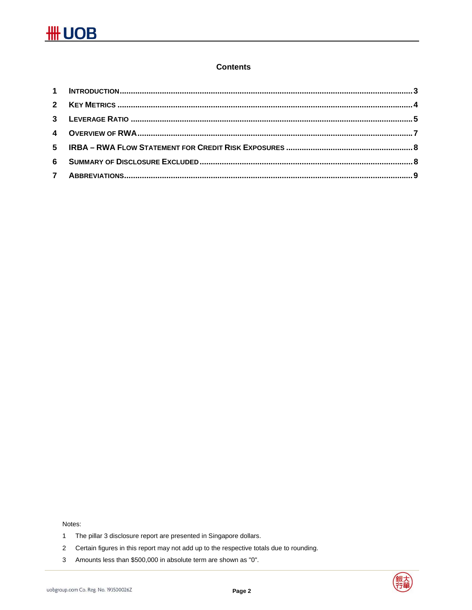### **Contents**

Notes:

- The pillar 3 disclosure report are presented in Singapore dollars.  $\mathbf{1}$
- $\overline{2}$ Certain figures in this report may not add up to the respective totals due to rounding.
- $\mathbf{3}$ Amounts less than \$500,000 in absolute term are shown as "0".

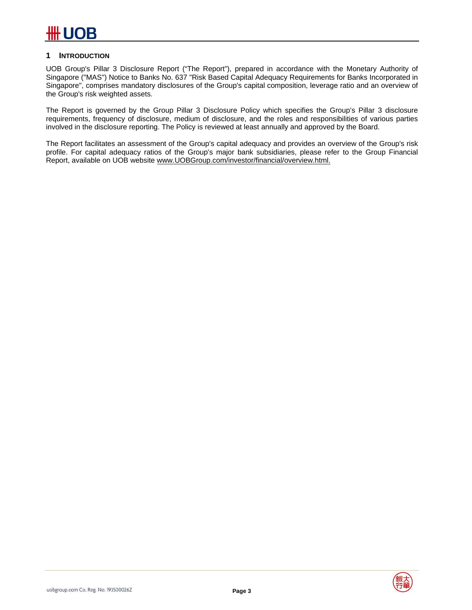#### **1 INTRODUCTION**

UOB Group's Pillar 3 Disclosure Report ("The Report"), prepared in accordance with the Monetary Authority of Singapore ("MAS") Notice to Banks No. 637 "Risk Based Capital Adequacy Requirements for Banks Incorporated in Singapore", comprises mandatory disclosures of the Group's capital composition, leverage ratio and an overview of the Group's risk weighted assets.

The Report is governed by the Group Pillar 3 Disclosure Policy which specifies the Group's Pillar 3 disclosure requirements, frequency of disclosure, medium of disclosure, and the roles and responsibilities of various parties involved in the disclosure reporting. The Policy is reviewed at least annually and approved by the Board.

The Report facilitates an assessment of the Group's capital adequacy and provides an overview of the Group's risk profile. For capital adequacy ratios of the Group's major bank subsidiaries, please refer to the Group Financial Report, available on UOB website www.UOBGroup.com/investor/financial/overview.html.

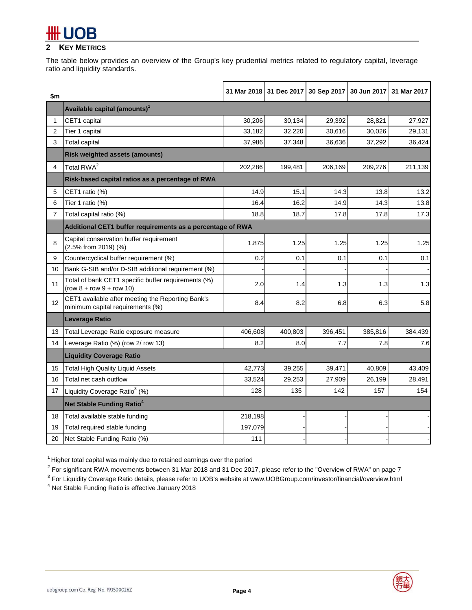### **2 KEY METRICS**

The table below provides an overview of the Group's key prudential metrics related to regulatory capital, leverage ratio and liquidity standards.

| \$m            |                                                                                       |         |         | 31 Mar 2018 31 Dec 2017 30 Sep 2017 30 Jun 2017 31 Mar 2017 |         |         |
|----------------|---------------------------------------------------------------------------------------|---------|---------|-------------------------------------------------------------|---------|---------|
|                | Available capital (amounts) <sup>1</sup>                                              |         |         |                                                             |         |         |
| $\mathbf{1}$   | CET1 capital                                                                          | 30,206  | 30,134  | 29,392                                                      | 28,821  | 27,927  |
| $\overline{c}$ | Tier 1 capital                                                                        | 33,182  | 32,220  | 30,616                                                      | 30,026  | 29,131  |
| 3              | <b>Total capital</b>                                                                  | 37,986  | 37,348  | 36,636                                                      | 37,292  | 36,424  |
|                | <b>Risk weighted assets (amounts)</b>                                                 |         |         |                                                             |         |         |
| 4              | Total RWA <sup>2</sup>                                                                | 202,286 | 199,481 | 206,169                                                     | 209,276 | 211,139 |
|                | Risk-based capital ratios as a percentage of RWA                                      |         |         |                                                             |         |         |
| 5              | CET1 ratio (%)                                                                        | 14.9    | 15.1    | 14.3                                                        | 13.8    | 13.2    |
| 6              | Tier 1 ratio (%)                                                                      | 16.4    | 16.2    | 14.9                                                        | 14.3    | 13.8    |
| $\overline{7}$ | Total capital ratio (%)                                                               | 18.8    | 18.7    | 17.8                                                        | 17.8    | 17.3    |
|                | Additional CET1 buffer requirements as a percentage of RWA                            |         |         |                                                             |         |         |
| 8              | Capital conservation buffer requirement<br>(2.5% from 2019) (%)                       | 1.875   | 1.25    | 1.25                                                        | 1.25    | 1.25    |
| 9              | Countercyclical buffer requirement (%)                                                | 0.2     | 0.1     | 0.1                                                         | 0.1     | 0.1     |
| 10             | Bank G-SIB and/or D-SIB additional requirement (%)                                    |         |         |                                                             |         |         |
| 11             | Total of bank CET1 specific buffer requirements (%)<br>$(row 8 + row 9 + row 10)$     | 2.0     | 1.4     | 1.3                                                         | 1.3     | 1.3     |
| 12             | CET1 available after meeting the Reporting Bank's<br>minimum capital requirements (%) | 8.4     | 8.2     | 6.8                                                         | 6.3     | 5.8     |
|                | <b>Leverage Ratio</b>                                                                 |         |         |                                                             |         |         |
| 13             | Total Leverage Ratio exposure measure                                                 | 406,608 | 400,803 | 396,451                                                     | 385,816 | 384,439 |
| 14             | Leverage Ratio (%) (row 2/ row 13)                                                    | 8.2     | 8.0     | 7.7                                                         | 7.8     | 7.6     |
|                | <b>Liquidity Coverage Ratio</b>                                                       |         |         |                                                             |         |         |
| 15             | <b>Total High Quality Liquid Assets</b>                                               | 42,773  | 39,255  | 39,471                                                      | 40,809  | 43,409  |
| 16             | Total net cash outflow                                                                | 33,524  | 29,253  | 27,909                                                      | 26,199  | 28,491  |
| 17             | Liquidity Coverage Ratio <sup>3</sup> (%)                                             | 128     | 135     | 142                                                         | 157     | 154     |
|                | Net Stable Funding Ratio <sup>4</sup>                                                 |         |         |                                                             |         |         |
| 18             | Total available stable funding                                                        | 218,198 |         |                                                             |         |         |
| 19             | Total required stable funding                                                         | 197,079 |         |                                                             |         |         |
| 20             | Net Stable Funding Ratio (%)                                                          | 111     |         |                                                             |         |         |

 $1$  Higher total capital was mainly due to retained earnings over the period

 $^2$  For significant RWA movements between 31 Mar 2018 and 31 Dec 2017, please refer to the "Overview of RWA" on page 7

 $^3$  For Liquidity Coverage Ratio details, please refer to UOB's website at www.UOBGroup.com/investor/financial/overview.html

4 Net Stable Funding Ratio is effective January 2018

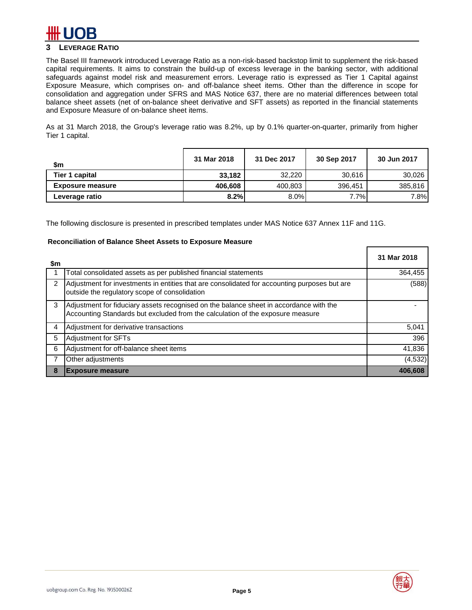

### **3 LEVERAGE RATIO**

The Basel III framework introduced Leverage Ratio as a non-risk-based backstop limit to supplement the risk-based capital requirements. It aims to constrain the build-up of excess leverage in the banking sector, with additional safeguards against model risk and measurement errors. Leverage ratio is expressed as Tier 1 Capital against Exposure Measure, which comprises on- and off-balance sheet items. Other than the difference in scope for consolidation and aggregation under SFRS and MAS Notice 637, there are no material differences between total balance sheet assets (net of on-balance sheet derivative and SFT assets) as reported in the financial statements and Exposure Measure of on-balance sheet items.

As at 31 March 2018, the Group's leverage ratio was 8.2%, up by 0.1% quarter-on-quarter, primarily from higher Tier 1 capital.

| \$m                     | 31 Mar 2018 | 31 Dec 2017 | 30 Sep 2017 | 30 Jun 2017 |
|-------------------------|-------------|-------------|-------------|-------------|
| Tier 1 capital          | 33,182      | 32,220      | 30.616      | 30,026      |
| <b>Exposure measure</b> | 406,608     | 400,803     | 396.451     | 385,816     |
| Leverage ratio          | 8.2%        | 8.0%        | $7.7\%$     | 7.8%        |

The following disclosure is presented in prescribed templates under MAS Notice 637 Annex 11F and 11G.

#### **Reconciliation of Balance Sheet Assets to Exposure Measure**

| \$m |                                                                                                                                                                          | 31 Mar 2018 |
|-----|--------------------------------------------------------------------------------------------------------------------------------------------------------------------------|-------------|
|     | Total consolidated assets as per published financial statements                                                                                                          | 364,455     |
| 2   | Adjustment for investments in entities that are consolidated for accounting purposes but are<br>outside the regulatory scope of consolidation                            | (588)       |
| 3   | Adjustment for fiduciary assets recognised on the balance sheet in accordance with the<br>Accounting Standards but excluded from the calculation of the exposure measure |             |
| 4   | Adjustment for derivative transactions                                                                                                                                   | 5,041       |
| 5   | Adjustment for SFTs                                                                                                                                                      | 396         |
| 6   | Adjustment for off-balance sheet items                                                                                                                                   | 41,836      |
|     | Other adjustments                                                                                                                                                        | (4, 532)    |
| 8   | <b>Exposure measure</b>                                                                                                                                                  | 406,608     |

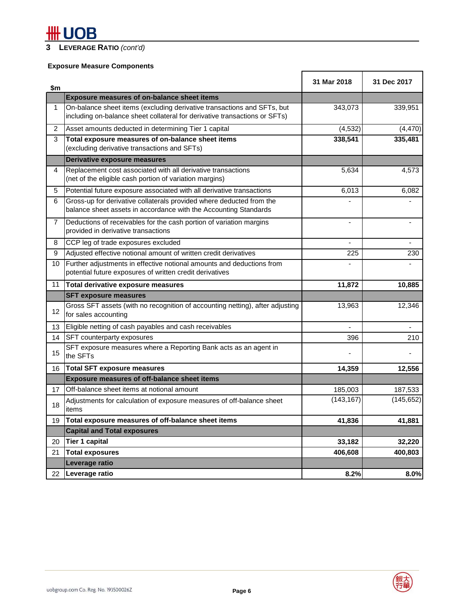# **#H UOB**

## **3 LEVERAGE RATIO** *(cont'd)*

## **Exposure Measure Components**

| \$m            |                                                                                                                                                       | 31 Mar 2018 | 31 Dec 2017 |
|----------------|-------------------------------------------------------------------------------------------------------------------------------------------------------|-------------|-------------|
|                | <b>Exposure measures of on-balance sheet items</b>                                                                                                    |             |             |
| $\mathbf{1}$   | On-balance sheet items (excluding derivative transactions and SFTs, but<br>including on-balance sheet collateral for derivative transactions or SFTs) | 343,073     | 339,951     |
| 2              | Asset amounts deducted in determining Tier 1 capital                                                                                                  | (4, 532)    | (4, 470)    |
| 3              | Total exposure measures of on-balance sheet items<br>(excluding derivative transactions and SFTs)                                                     | 338,541     | 335,481     |
|                | Derivative exposure measures                                                                                                                          |             |             |
| 4              | Replacement cost associated with all derivative transactions<br>(net of the eligible cash portion of variation margins)                               | 5,634       | 4,573       |
| 5              | Potential future exposure associated with all derivative transactions                                                                                 | 6,013       | 6,082       |
| 6              | Gross-up for derivative collaterals provided where deducted from the<br>balance sheet assets in accordance with the Accounting Standards              |             |             |
| $\overline{7}$ | Deductions of receivables for the cash portion of variation margins<br>provided in derivative transactions                                            | ä,          |             |
| 8              | CCP leg of trade exposures excluded                                                                                                                   |             |             |
| 9              | Adjusted effective notional amount of written credit derivatives                                                                                      | 225         | 230         |
| 10             | Further adjustments in effective notional amounts and deductions from<br>potential future exposures of written credit derivatives                     | ÷.          |             |
| 11             | Total derivative exposure measures                                                                                                                    | 11,872      | 10,885      |
|                | <b>SFT exposure measures</b>                                                                                                                          |             |             |
| 12             | Gross SFT assets (with no recognition of accounting netting), after adjusting<br>for sales accounting                                                 | 13,963      | 12,346      |
| 13             | Eligible netting of cash payables and cash receivables                                                                                                |             |             |
| 14             | SFT counterparty exposures                                                                                                                            | 396         | 210         |
| 15             | SFT exposure measures where a Reporting Bank acts as an agent in<br>the SFTs                                                                          |             |             |
| 16             | <b>Total SFT exposure measures</b>                                                                                                                    | 14,359      | 12,556      |
|                | <b>Exposure measures of off-balance sheet items</b>                                                                                                   |             |             |
| 17             | Off-balance sheet items at notional amount                                                                                                            | 185,003     | 187,533     |
| 18             | Adjustments for calculation of exposure measures of off-balance sheet<br>items                                                                        | (143, 167)  | (145, 652)  |
| 19             | Total exposure measures of off-balance sheet items                                                                                                    | 41,836      | 41,881      |
|                | <b>Capital and Total exposures</b>                                                                                                                    |             |             |
| 20             | <b>Tier 1 capital</b>                                                                                                                                 | 33,182      | 32,220      |
| 21             | <b>Total exposures</b>                                                                                                                                | 406,608     | 400,803     |
|                | Leverage ratio                                                                                                                                        |             |             |
| 22             | Leverage ratio                                                                                                                                        | 8.2%        | 8.0%        |

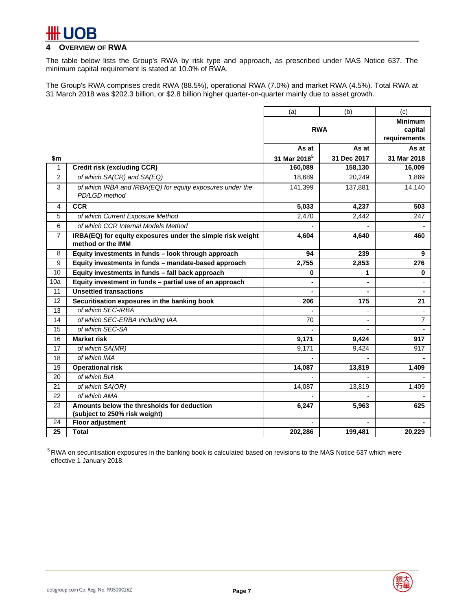### **OVERVIEW OF RWA**

The table below lists the Group's RWA by risk type and approach, as prescribed under MAS Notice 637. The minimum capital requirement is stated at 10.0% of RWA.

The Group's RWA comprises credit RWA (88.5%), operational RWA (7.0%) and market RWA (4.5%). Total RWA at 31 March 2018 was \$202.3 billion, or \$2.8 billion higher quarter-on-quarter mainly due to asset growth.

|     |                                                                                 | (a)                      | (b)            | (c)                      |
|-----|---------------------------------------------------------------------------------|--------------------------|----------------|--------------------------|
|     |                                                                                 | <b>RWA</b>               |                | <b>Minimum</b>           |
|     |                                                                                 |                          |                | capital<br>requirements  |
|     |                                                                                 | As at                    | As at          | As at                    |
| \$m |                                                                                 | 31 Mar 2018 <sup>5</sup> | 31 Dec 2017    | 31 Mar 2018              |
| 1   | <b>Credit risk (excluding CCR)</b>                                              | 160,089                  | 158,130        | 16,009                   |
| 2   | of which SA(CR) and SA(EQ)                                                      | 18,689                   | 20,249         | 1,869                    |
| 3   | of which IRBA and IRBA(EQ) for equity exposures under the                       | 141,399                  | 137,881        | 14,140                   |
|     | PD/LGD method                                                                   |                          |                |                          |
| 4   | <b>CCR</b>                                                                      | 5,033                    | 4,237          | 503                      |
| 5   | of which Current Exposure Method                                                | 2,470                    | 2,442          | 247                      |
| 6   | of which CCR Internal Models Method                                             |                          |                |                          |
| 7   | IRBA(EQ) for equity exposures under the simple risk weight<br>method or the IMM | 4,604<br>4,640           |                | 460                      |
| 8   | Equity investments in funds - look through approach                             | 94                       | 239            | 9                        |
| 9   | Equity investments in funds - mandate-based approach                            | 2,755                    | 2,853          | 276                      |
| 10  | Equity investments in funds - fall back approach                                | 0                        | 1              | $\mathbf 0$              |
| 10a | Equity investment in funds - partial use of an approach                         |                          |                |                          |
| 11  | <b>Unsettled transactions</b>                                                   |                          |                |                          |
| 12  | Securitisation exposures in the banking book                                    | 206                      | 175            | 21                       |
| 13  | of which SEC-IRBA                                                               |                          |                | $\overline{\phantom{a}}$ |
| 14  | of which SEC-ERBA Including IAA                                                 | 70                       | $\blacksquare$ | $\overline{7}$           |
| 15  | of which SEC-SA                                                                 |                          |                |                          |
| 16  | <b>Market risk</b>                                                              | 9,171                    | 9,424          | 917                      |
| 17  | of which SA(MR)                                                                 | 9,171                    | 9.424          | 917                      |
| 18  | of which IMA                                                                    |                          |                |                          |
| 19  | <b>Operational risk</b>                                                         | 14,087                   | 13,819         | 1,409                    |
| 20  | of which BIA                                                                    |                          |                |                          |
| 21  | of which SA(OR)                                                                 | 14,087                   | 13,819         | 1,409                    |
| 22  | of which AMA                                                                    |                          |                |                          |
| 23  | Amounts below the thresholds for deduction                                      | 6,247                    | 5,963          | 625                      |
|     | (subject to 250% risk weight)                                                   |                          |                |                          |
| 24  | <b>Floor adjustment</b>                                                         | 202,286                  |                |                          |
|     | 25<br><b>Total</b>                                                              |                          | 199,481        | 20,229                   |

<sup>5</sup> RWA on securitisation exposures in the banking book is calculated based on revisions to the MAS Notice 637 which were effective 1 January 2018.

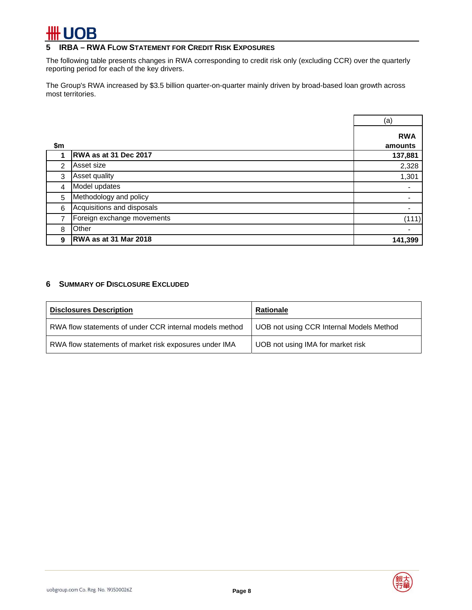# **·UOB**

### **5 IRBA – RWA FLOW STATEMENT FOR CREDIT RISK EXPOSURES**

The following table presents changes in RWA corresponding to credit risk only (excluding CCR) over the quarterly reporting period for each of the key drivers.

The Group's RWA increased by \$3.5 billion quarter-on-quarter mainly driven by broad-based loan growth across most territories.

|     |                            | (a)                   |
|-----|----------------------------|-----------------------|
| \$m |                            | <b>RWA</b><br>amounts |
|     | RWA as at 31 Dec 2017      | 137,881               |
| 2   | Asset size                 | 2,328                 |
| 3   | Asset quality              | 1,301                 |
| 4   | Model updates              | $\blacksquare$        |
| 5   | Methodology and policy     |                       |
| 6   | Acquisitions and disposals |                       |
| 7   | Foreign exchange movements | (111)                 |
| 8   | Other                      | ٠                     |
| 9   | RWA as at 31 Mar 2018      | 141,399               |

### **6 SUMMARY OF DISCLOSURE EXCLUDED**

| <b>Disclosures Description</b>                          | Rationale                                |
|---------------------------------------------------------|------------------------------------------|
| RWA flow statements of under CCR internal models method | UOB not using CCR Internal Models Method |
| RWA flow statements of market risk exposures under IMA  | UOB not using IMA for market risk        |

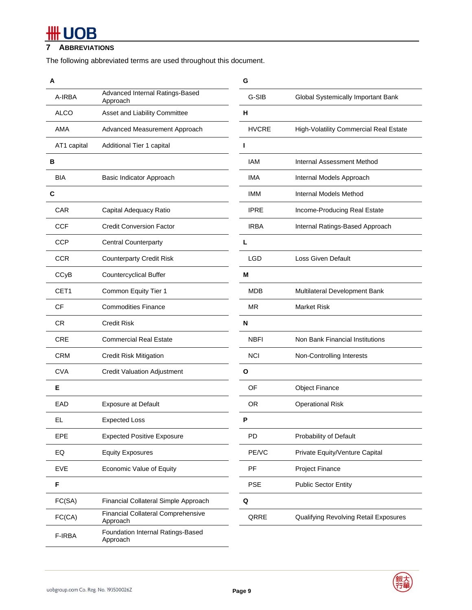# **HH UOB**

### **7 ABBREVIATIONS**

The following abbreviated terms are used throughout this document.

| Α           |                                                       | G            |                                        |
|-------------|-------------------------------------------------------|--------------|----------------------------------------|
| A-IRBA      | Advanced Internal Ratings-Based<br>Approach           | G-SIB        | Global Systemically Important Bank     |
| <b>ALCO</b> | Asset and Liability Committee                         | н            |                                        |
| AMA         | Advanced Measurement Approach                         | <b>HVCRE</b> | High-Volatility Commercial Real Estate |
| AT1 capital | Additional Tier 1 capital                             | п            |                                        |
| в           |                                                       | <b>IAM</b>   | Internal Assessment Method             |
| <b>BIA</b>  | Basic Indicator Approach                              | IMA          | Internal Models Approach               |
| С           |                                                       | <b>IMM</b>   | Internal Models Method                 |
| <b>CAR</b>  | Capital Adequacy Ratio                                | <b>IPRE</b>  | Income-Producing Real Estate           |
| <b>CCF</b>  | <b>Credit Conversion Factor</b>                       | <b>IRBA</b>  | Internal Ratings-Based Approach        |
| <b>CCP</b>  | <b>Central Counterparty</b>                           | L            |                                        |
| <b>CCR</b>  | <b>Counterparty Credit Risk</b>                       | <b>LGD</b>   | Loss Given Default                     |
| CCyB        | <b>Countercyclical Buffer</b>                         | M            |                                        |
| CET1        | Common Equity Tier 1                                  | <b>MDB</b>   | Multilateral Development Bank          |
| <b>CF</b>   | <b>Commodities Finance</b>                            | <b>MR</b>    | Market Risk                            |
| <b>CR</b>   | <b>Credit Risk</b>                                    | N            |                                        |
| <b>CRE</b>  | <b>Commercial Real Estate</b>                         | <b>NBFI</b>  | Non Bank Financial Institutions        |
| <b>CRM</b>  | <b>Credit Risk Mitigation</b>                         | <b>NCI</b>   | Non-Controlling Interests              |
| <b>CVA</b>  | <b>Credit Valuation Adjustment</b>                    | $\mathbf{o}$ |                                        |
| Е           |                                                       | OF           | <b>Object Finance</b>                  |
| EAD         | <b>Exposure at Default</b>                            | <b>OR</b>    | <b>Operational Risk</b>                |
| EL          | <b>Expected Loss</b>                                  | P            |                                        |
| EPE         | <b>Expected Positive Exposure</b>                     | PD           | Probability of Default                 |
| EQ          | <b>Equity Exposures</b>                               | PE/VC        | Private Equity/Venture Capital         |
| <b>EVE</b>  | Economic Value of Equity                              | PF           | Project Finance                        |
| F           |                                                       | <b>PSE</b>   | <b>Public Sector Entity</b>            |
| FC(SA)      | Financial Collateral Simple Approach                  | $\mathbf Q$  |                                        |
| FC(CA)      | <b>Financial Collateral Comprehensive</b><br>Approach | QRRE         | Qualifying Revolving Retail Exposures  |
| F-IRBA      | Foundation Internal Ratings-Based<br>Approach         |              |                                        |



J.

 $\overline{\phantom{0}}$ 

e.

**Contract Contract**